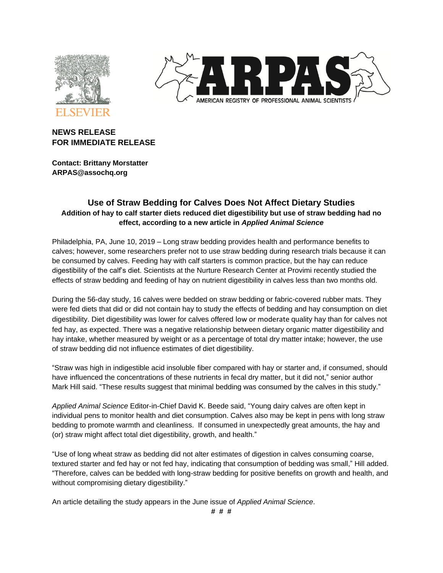



# **NEWS RELEASE FOR IMMEDIATE RELEASE**

**Contact: Brittany Morstatter ARPAS@assochq.org**

# **Use of Straw Bedding for Calves Does Not Affect Dietary Studies Addition of hay to calf starter diets reduced diet digestibility but use of straw bedding had no effect, according to a new article in** *Applied Animal Science*

Philadelphia, PA, June 10, 2019 – Long straw bedding provides health and performance benefits to calves; however, some researchers prefer not to use straw bedding during research trials because it can be consumed by calves. Feeding hay with calf starters is common practice, but the hay can reduce digestibility of the calf's diet. Scientists at the Nurture Research Center at Provimi recently studied the effects of straw bedding and feeding of hay on nutrient digestibility in calves less than two months old.

During the 56-day study, 16 calves were bedded on straw bedding or fabric-covered rubber mats. They were fed diets that did or did not contain hay to study the effects of bedding and hay consumption on diet digestibility. Diet digestibility was lower for calves offered low or moderate quality hay than for calves not fed hay, as expected. There was a negative relationship between dietary organic matter digestibility and hay intake, whether measured by weight or as a percentage of total dry matter intake; however, the use of straw bedding did not influence estimates of diet digestibility.

"Straw was high in indigestible acid insoluble fiber compared with hay or starter and, if consumed, should have influenced the concentrations of these nutrients in fecal dry matter, but it did not," senior author Mark Hill said. "These results suggest that minimal bedding was consumed by the calves in this study."

*Applied Animal Science* Editor-in-Chief David K. Beede said, "Young dairy calves are often kept in individual pens to monitor health and diet consumption. Calves also may be kept in pens with long straw bedding to promote warmth and cleanliness. If consumed in unexpectedly great amounts, the hay and (or) straw might affect total diet digestibility, growth, and health."

"Use of long wheat straw as bedding did not alter estimates of digestion in calves consuming coarse, textured starter and fed hay or not fed hay, indicating that consumption of bedding was small," Hill added. "Therefore, calves can be bedded with long-straw bedding for positive benefits on growth and health, and without compromising dietary digestibility."

An article detailing the study appears in the June issue of *Applied Animal Science*.